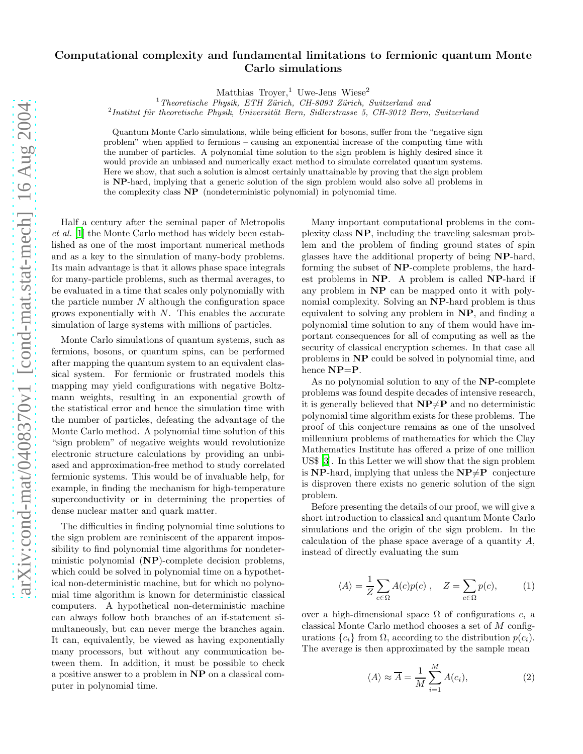## Computational complexity and fundamental limitations to fermionic quantum Monte Carlo simulations

Matthias  $Troyer<sub>1</sub><sup>1</sup> Uwe-Jens Wiese<sup>2</sup>$ 

 $1$ Theoretische Physik, ETH Zürich, CH-8093 Zürich, Switzerland and  $^{2}$ Institut für theoretische Physik, Universität Bern, Sidlerstrasse 5, CH-3012 Bern, Switzerland

Quantum Monte Carlo simulations, while being efficient for bosons, suffer from the "negative sign problem" when applied to fermions – causing an exponential increase of the computing time with the number of particles. A polynomial time solution to the sign problem is highly desired since it would provide an unbiased and numerically exact method to simulate correlated quantum systems. Here we show, that such a solution is almost certainly unattainable by proving that the sign problem is NP-hard, implying that a generic solution of the sign problem would also solve all problems in the complexity class NP (nondeterministic polynomial) in polynomial time.

Half a century after the seminal paper of Metropolis et al. [\[1](#page-3-0)] the Monte Carlo method has widely been established as one of the most important numerical methods and as a key to the simulation of many-body problems. Its main advantage is that it allows phase space integrals for many-particle problems, such as thermal averages, to be evaluated in a time that scales only polynomially with the particle number  $N$  although the configuration space grows exponentially with  $N$ . This enables the accurate simulation of large systems with millions of particles.

Monte Carlo simulations of quantum systems, such as fermions, bosons, or quantum spins, can be performed after mapping the quantum system to an equivalent classical system. For fermionic or frustrated models this mapping may yield configurations with negative Boltzmann weights, resulting in an exponential growth of the statistical error and hence the simulation time with the number of particles, defeating the advantage of the Monte Carlo method. A polynomial time solution of this "sign problem" of negative weights would revolutionize electronic structure calculations by providing an unbiased and approximation-free method to study correlated fermionic systems. This would be of invaluable help, for example, in finding the mechanism for high-temperature superconductivity or in determining the properties of dense nuclear matter and quark matter.

The difficulties in finding polynomial time solutions to the sign problem are reminiscent of the apparent impossibility to find polynomial time algorithms for nondeterministic polynomial (NP)-complete decision problems, which could be solved in polynomial time on a hypothetical non-deterministic machine, but for which no polynomial time algorithm is known for deterministic classical computers. A hypothetical non-deterministic machine can always follow both branches of an if-statement simultaneously, but can never merge the branches again. It can, equivalently, be viewed as having exponentially many processors, but without any communication between them. In addition, it must be possible to check a positive answer to a problem in NP on a classical computer in polynomial time.

Many important computational problems in the complexity class NP, including the traveling salesman problem and the problem of finding ground states of spin glasses have the additional property of being NP-hard, forming the subset of NP-complete problems, the hardest problems in NP. A problem is called NP-hard if any problem in NP can be mapped onto it with polynomial complexity. Solving an NP-hard problem is thus equivalent to solving any problem in NP, and finding a polynomial time solution to any of them would have important consequences for all of computing as well as the security of classical encryption schemes. In that case all problems in NP could be solved in polynomial time, and hence  $NP = P$ .

As no polynomial solution to any of the NP-complete problems was found despite decades of intensive research, it is generally believed that  $NP\neq P$  and no deterministic polynomial time algorithm exists for these problems. The proof of this conjecture remains as one of the unsolved millennium problems of mathematics for which the Clay Mathematics Institute has offered a prize of one million US\$ [\[3](#page-3-1)]. In this Letter we will show that the sign problem is NP-hard, implying that unless the  $NP\neq P$  conjecture is disproven there exists no generic solution of the sign problem.

Before presenting the details of our proof, we will give a short introduction to classical and quantum Monte Carlo simulations and the origin of the sign problem. In the calculation of the phase space average of a quantity  $A$ , instead of directly evaluating the sum

$$
\langle A \rangle = \frac{1}{Z} \sum_{c \in \Omega} A(c) p(c) , \quad Z = \sum_{c \in \Omega} p(c), \quad (1)
$$

<span id="page-0-0"></span>over a high-dimensional space  $\Omega$  of configurations c, a classical Monte Carlo method chooses a set of M configurations  $\{c_i\}$  from  $\Omega$ , according to the distribution  $p(c_i)$ . The average is then approximated by the sample mean

$$
\langle A \rangle \approx \overline{A} = \frac{1}{M} \sum_{i=1}^{M} A(c_i), \tag{2}
$$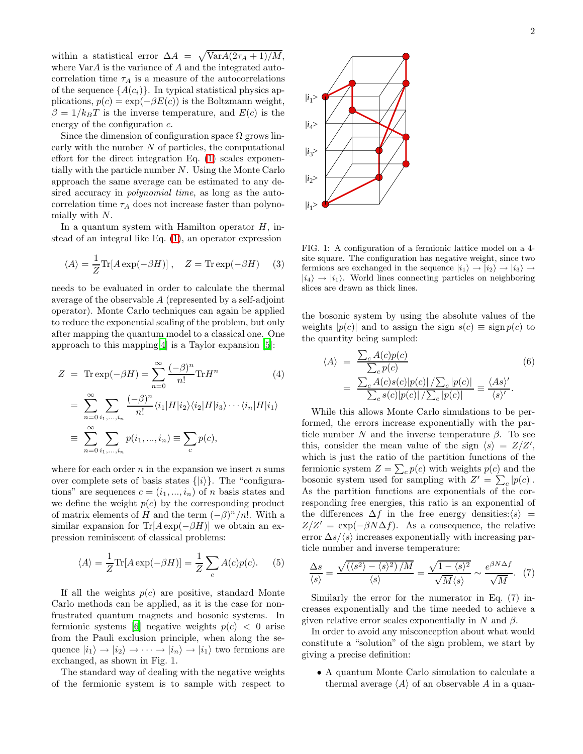within a statistical error  $\Delta A = \sqrt{\text{Var}A(2\tau_A + 1)/M}$ , where VarA is the variance of A and the integrated autocorrelation time  $\tau_A$  is a measure of the autocorrelations of the sequence  $\{A(c_i)\}\$ . In typical statistical physics applications,  $p(c) = \exp(-\beta E(c))$  is the Boltzmann weight,  $\beta = 1/k_BT$  is the inverse temperature, and  $E(c)$  is the energy of the configuration  $c$ .

Since the dimension of configuration space  $\Omega$  grows linearly with the number  $N$  of particles, the computational effort for the direct integration Eq. [\(1\)](#page-0-0) scales exponentially with the particle number N. Using the Monte Carlo approach the same average can be estimated to any desired accuracy in *polynomial time*, as long as the autocorrelation time  $\tau_A$  does not increase faster than polynomially with N.

In a quantum system with Hamilton operator  $H$ , instead of an integral like Eq. [\(1\)](#page-0-0), an operator expression

$$
\langle A \rangle = \frac{1}{Z} \text{Tr}[A \exp(-\beta H)], \quad Z = \text{Tr} \exp(-\beta H) \quad (3)
$$

needs to be evaluated in order to calculate the thermal average of the observable A (represented by a self-adjoint operator). Monte Carlo techniques can again be applied to reduce the exponential scaling of the problem, but only after mapping the quantum model to a classical one. One approach to this mapping[\[4\]](#page-3-2) is a Taylor expansion [\[5\]](#page-3-3):

$$
Z = \text{Tr} \exp(-\beta H) = \sum_{n=0}^{\infty} \frac{(-\beta)^n}{n!} \text{Tr} H^n
$$
(4)  

$$
= \sum_{n=0}^{\infty} \sum_{i_1, ..., i_n} \frac{(-\beta)^n}{n!} \langle i_1 | H | i_2 \rangle \langle i_2 | H | i_3 \rangle \cdots \langle i_n | H | i_1 \rangle
$$
  

$$
\equiv \sum_{n=0}^{\infty} \sum_{i_1, ..., i_n} p(i_1, ..., i_n) \equiv \sum_c p(c),
$$

where for each order  $n$  in the expansion we insert  $n$  sums over complete sets of basis states  $\{|i\rangle\}$ . The "configurations" are sequences  $c = (i_1, ..., i_n)$  of n basis states and we define the weight  $p(c)$  by the corresponding product of matrix elements of H and the term  $(-\beta)^n/n!$ . With a similar expansion for Tr[ $A \exp(-\beta H)$ ] we obtain an expression reminiscent of classical problems:

$$
\langle A \rangle = \frac{1}{Z} \text{Tr}[A \exp(-\beta H)] = \frac{1}{Z} \sum_{c} A(c) p(c). \tag{5}
$$

<span id="page-1-0"></span>If all the weights  $p(c)$  are positive, standard Monte Carlo methods can be applied, as it is the case for nonfrustrated quantum magnets and bosonic systems. In fermionic systems [\[6\]](#page-3-4) negative weights  $p(c) < 0$  arise from the Pauli exclusion principle, when along the sequence  $|i_1\rangle \rightarrow |i_2\rangle \rightarrow \cdots \rightarrow |i_n\rangle \rightarrow |i_1\rangle$  two fermions are exchanged, as shown in Fig. 1.

The standard way of dealing with the negative weights of the fermionic system is to sample with respect to



FIG. 1: A configuration of a fermionic lattice model on a 4 site square. The configuration has negative weight, since two fermions are exchanged in the sequence  $|i_1\rangle \rightarrow |i_2\rangle \rightarrow |i_3\rangle \rightarrow$  $|i_4\rangle \rightarrow |i_1\rangle$ . World lines connecting particles on neighboring slices are drawn as thick lines.

the bosonic system by using the absolute values of the weights  $|p(c)|$  and to assign the sign  $s(c) \equiv \text{sign } p(c)$  to the quantity being sampled:

$$
\langle A \rangle = \frac{\sum_{c} A(c)p(c)}{\sum_{c} p(c)} \tag{6}
$$

$$
= \frac{\sum_{c} A(c)s(c)|p(c)|}{\sum_{c} s(c)|p(c)|} = \frac{\langle As \rangle'}{\langle s \rangle'}.
$$

While this allows Monte Carlo simulations to be performed, the errors increase exponentially with the particle number N and the inverse temperature  $\beta$ . To see this, consider the mean value of the sign  $\langle s \rangle = Z/Z'$ , which is just the ratio of the partition functions of the fermionic system  $Z = \sum_{c} p(c)$  with weights  $p(c)$  and the bosonic system used for sampling with  $Z' = \sum_c |p(c)|$ . As the partition functions are exponentials of the corresponding free energies, this ratio is an exponential of the differences  $\Delta f$  in the free energy densities: $\langle s \rangle$  =  $Z/Z' = \exp(-\beta N \Delta f)$ . As a consequence, the relative error  $\Delta s/\langle s \rangle$  increases exponentially with increasing particle number and inverse temperature:

$$
\frac{\Delta s}{\langle s \rangle} = \frac{\sqrt{(\langle s^2 \rangle - \langle s \rangle^2)/M}}{\langle s \rangle} = \frac{\sqrt{1 - \langle s \rangle^2}}{\sqrt{M} \langle s \rangle} \sim \frac{e^{\beta N \Delta f}}{\sqrt{M}}. (7)
$$

Similarly the error for the numerator in Eq. (7) increases exponentially and the time needed to achieve a given relative error scales exponentially in N and  $\beta$ .

In order to avoid any misconception about what would constitute a "solution" of the sign problem, we start by giving a precise definition:

• A quantum Monte Carlo simulation to calculate a thermal average  $\langle A \rangle$  of an observable A in a quan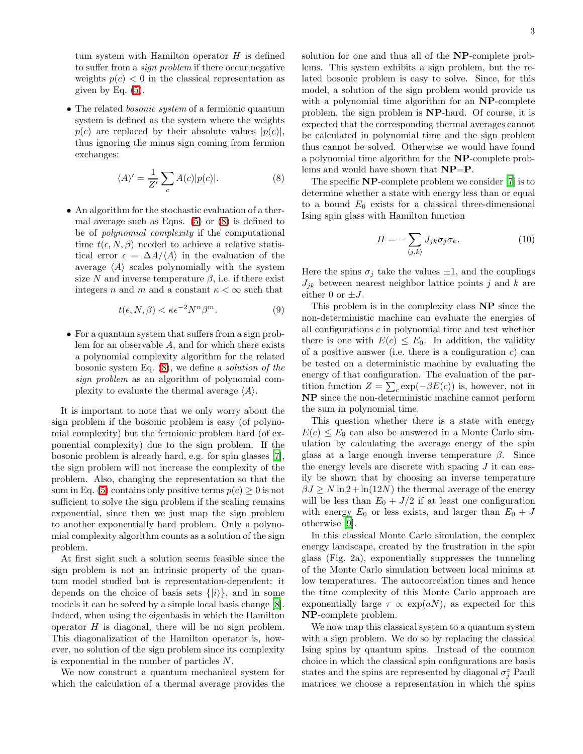tum system with Hamilton operator  $H$  is defined to suffer from a sign problem if there occur negative weights  $p(c) < 0$  in the classical representation as given by Eq.  $(5)$ .

• The related *bosonic system* of a fermionic quantum system is defined as the system where the weights  $p(c)$  are replaced by their absolute values  $|p(c)|$ , thus ignoring the minus sign coming from fermion exchanges:

$$
\langle A \rangle' = \frac{1}{Z'} \sum_{c} A(c) |p(c)|. \tag{8}
$$

<span id="page-2-0"></span>• An algorithm for the stochastic evaluation of a thermal average such as Eqns.  $(5)$  or  $(8)$  is defined to be of polynomial complexity if the computational time  $t(\epsilon, N, \beta)$  needed to achieve a relative statistical error  $\epsilon = \Delta A/\langle A \rangle$  in the evaluation of the average  $\langle A \rangle$  scales polynomially with the system size N and inverse temperature  $\beta$ , i.e. if there exist integers n and m and a constant  $\kappa < \infty$  such that

$$
t(\epsilon, N, \beta) < \kappa \epsilon^{-2} N^n \beta^m. \tag{9}
$$

• For a quantum system that suffers from a sign problem for an observable A, and for which there exists a polynomial complexity algorithm for the related bosonic system Eq. [\(8\)](#page-2-0), we define a solution of the sign problem as an algorithm of polynomial complexity to evaluate the thermal average  $\langle A \rangle$ .

It is important to note that we only worry about the sign problem if the bosonic problem is easy (of polynomial complexity) but the fermionic problem hard (of exponential complexity) due to the sign problem. If the bosonic problem is already hard, e.g. for spin glasses [\[7\]](#page-3-5), the sign problem will not increase the complexity of the problem. Also, changing the representation so that the sum in Eq. [\(5\)](#page-1-0) contains only positive terms  $p(c) \geq 0$  is not sufficient to solve the sign problem if the scaling remains exponential, since then we just map the sign problem to another exponentially hard problem. Only a polynomial complexity algorithm counts as a solution of the sign problem.

At first sight such a solution seems feasible since the sign problem is not an intrinsic property of the quantum model studied but is representation-dependent: it depends on the choice of basis sets  $\{|i\rangle\}$ , and in some models it can be solved by a simple local basis change [\[8\]](#page-3-6). Indeed, when using the eigenbasis in which the Hamilton operator  $H$  is diagonal, there will be no sign problem. This diagonalization of the Hamilton operator is, however, no solution of the sign problem since its complexity is exponential in the number of particles N.

We now construct a quantum mechanical system for which the calculation of a thermal average provides the solution for one and thus all of the NP-complete problems. This system exhibits a sign problem, but the related bosonic problem is easy to solve. Since, for this model, a solution of the sign problem would provide us with a polynomial time algorithm for an NP-complete problem, the sign problem is NP-hard. Of course, it is expected that the corresponding thermal averages cannot be calculated in polynomial time and the sign problem thus cannot be solved. Otherwise we would have found a polynomial time algorithm for the NP-complete problems and would have shown that  $NP = P$ .

The specific NP-complete problem we consider [\[7\]](#page-3-5) is to determine whether a state with energy less than or equal to a bound  $E_0$  exists for a classical three-dimensional Ising spin glass with Hamilton function

$$
H = -\sum_{\langle j,k \rangle} J_{jk} \sigma_j \sigma_k. \tag{10}
$$

Here the spins  $\sigma_j$  take the values  $\pm 1$ , and the couplings  $J_{jk}$  between nearest neighbor lattice points j and k are either 0 or  $\pm J$ .

This problem is in the complexity class NP since the non-deterministic machine can evaluate the energies of all configurations  $c$  in polynomial time and test whether there is one with  $E(c) \leq E_0$ . In addition, the validity of a positive answer (i.e. there is a configuration  $c$ ) can be tested on a deterministic machine by evaluating the energy of that configuration. The evaluation of the partition function  $Z = \sum_{c} \exp(-\beta E(c))$  is, however, not in NP since the non-deterministic machine cannot perform the sum in polynomial time.

This question whether there is a state with energy  $E(c) \leq E_0$  can also be answered in a Monte Carlo simulation by calculating the average energy of the spin glass at a large enough inverse temperature  $\beta$ . Since the energy levels are discrete with spacing  $J$  it can easily be shown that by choosing an inverse temperature  $\beta J \geq N \ln 2 + \ln(12N)$  the thermal average of the energy will be less than  $E_0 + J/2$  if at least one configuration with energy  $E_0$  or less exists, and larger than  $E_0 + J$ otherwise [\[9](#page-3-7)].

In this classical Monte Carlo simulation, the complex energy landscape, created by the frustration in the spin glass (Fig. 2a), exponentially suppresses the tunneling of the Monte Carlo simulation between local minima at low temperatures. The autocorrelation times and hence the time complexity of this Monte Carlo approach are exponentially large  $\tau \propto \exp(aN)$ , as expected for this NP-complete problem.

We now map this classical system to a quantum system with a sign problem. We do so by replacing the classical Ising spins by quantum spins. Instead of the common choice in which the classical spin configurations are basis states and the spins are represented by diagonal  $\sigma_j^z$  Pauli matrices we choose a representation in which the spins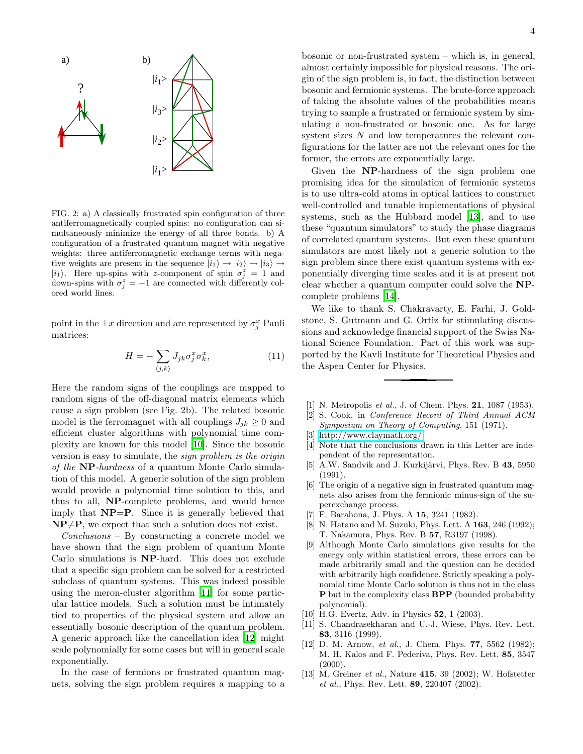

FIG. 2: a) A classically frustrated spin configuration of three antiferromagnetically coupled spins: no configuration can simultaneously minimize the energy of all three bonds. b) A configuration of a frustrated quantum magnet with negative weights: three antiferromagnetic exchange terms with negative weights are present in the sequence  $|i_1\rangle \rightarrow |i_2\rangle \rightarrow |i_3\rangle \rightarrow$  $|i_1\rangle$ . Here up-spins with z-component of spin  $\sigma_j^z = 1$  and down-spins with  $\sigma_j^z = -1$  are connected with differently colored world lines.

point in the  $\pm x$  direction and are represented by  $\sigma_j^x$  Pauli matrices:

$$
H = -\sum_{\langle j,k\rangle} J_{jk}\sigma_j^x \sigma_k^x,\tag{11}
$$

Here the random signs of the couplings are mapped to random signs of the off-diagonal matrix elements which cause a sign problem (see Fig. 2b). The related bosonic model is the ferromagnet with all couplings  $J_{jk} \geq 0$  and efficient cluster algorithms with polynomial time complexity are known for this model [\[10\]](#page-3-8). Since the bosonic version is easy to simulate, the sign problem is the origin of the NP-hardness of a quantum Monte Carlo simulation of this model. A generic solution of the sign problem would provide a polynomial time solution to this, and thus to all, NP-complete problems, and would hence imply that  $NP=P$ . Since it is generally believed that  $NP\neq P$ , we expect that such a solution does not exist.

Conclusions – By constructing a concrete model we have shown that the sign problem of quantum Monte Carlo simulations is NP-hard. This does not exclude that a specific sign problem can be solved for a restricted subclass of quantum systems. This was indeed possible using the meron-cluster algorithm [\[11\]](#page-3-9) for some particular lattice models. Such a solution must be intimately tied to properties of the physical system and allow an essentially bosonic description of the quantum problem. A generic approach like the cancellation idea [\[12\]](#page-3-10) might scale polynomially for some cases but will in general scale exponentially.

In the case of fermions or frustrated quantum magnets, solving the sign problem requires a mapping to a

bosonic or non-frustrated system – which is, in general, almost certainly impossible for physical reasons. The origin of the sign problem is, in fact, the distinction between bosonic and fermionic systems. The brute-force approach of taking the absolute values of the probabilities means trying to sample a frustrated or fermionic system by simulating a non-frustrated or bosonic one. As for large system sizes N and low temperatures the relevant configurations for the latter are not the relevant ones for the former, the errors are exponentially large.

Given the NP-hardness of the sign problem one promising idea for the simulation of fermionic systems is to use ultra-cold atoms in optical lattices to construct well-controlled and tunable implementations of physical systems, such as the Hubbard model [\[13\]](#page-3-11), and to use these "quantum simulators" to study the phase diagrams of correlated quantum systems. But even these quantum simulators are most likely not a generic solution to the sign problem since there exist quantum systems with exponentially diverging time scales and it is at present not clear whether a quantum computer could solve the NPcomplete problems [\[14\]](#page-4-0).

We like to thank S. Chakravarty, E. Farhi, J. Goldstone, S. Gutmann and G. Ortiz for stimulating discussions and acknowledge financial support of the Swiss National Science Foundation. Part of this work was supported by the Kavli Institute for Theoretical Physics and the Aspen Center for Physics.

- <span id="page-3-0"></span>[1] N. Metropolis et al., J. of Chem. Phys. **21**, 1087 (1953).
- [2] S. Cook, in Conference Record of Third Annual ACM Symposium on Theory of Computing, 151 (1971).
- [3]<http://www.claymath.org/>
- <span id="page-3-2"></span><span id="page-3-1"></span>[4] Note that the conclusions drawn in this Letter are independent of the representation.
- <span id="page-3-3"></span>[5] A.W. Sandvik and J. Kurkijärvi, Phys. Rev. B 43, 5950 (1991).
- <span id="page-3-4"></span>[6] The origin of a negative sign in frustrated quantum magnets also arises from the fermionic minus-sign of the superexchange process.
- <span id="page-3-5"></span>[7] F. Barahona, J. Phys. A 15, 3241 (1982).
- <span id="page-3-6"></span>[8] N. Hatano and M. Suzuki, Phys. Lett. A **163**, 246 (1992); T. Nakamura, Phys. Rev. B 57, R3197 (1998).
- <span id="page-3-7"></span>[9] Although Monte Carlo simulations give results for the energy only within statistical errors, these errors can be made arbitrarily small and the question can be decided with arbitrarily high confidence. Strictly speaking a polynomial time Monte Carlo solution is thus not in the class P but in the complexity class BPP (bounded probability polynomial).
- <span id="page-3-8"></span>[10] H.G. Evertz, Adv. in Physics **52**, 1 (2003).
- <span id="page-3-9"></span>[11] S. Chandrasekharan and U.-J. Wiese, Phys. Rev. Lett. 83, 3116 (1999).
- <span id="page-3-10"></span>[12] D. M. Arnow, et al., J. Chem. Phys. 77, 5562 (1982); M. H. Kalos and F. Pederiva, Phys. Rev. Lett. 85, 3547  $(2000).$
- <span id="page-3-11"></span>[13] M. Greiner *et al.*, Nature **415**, 39 (2002); W. Hofstetter et al., Phys. Rev. Lett. 89, 220407 (2002).